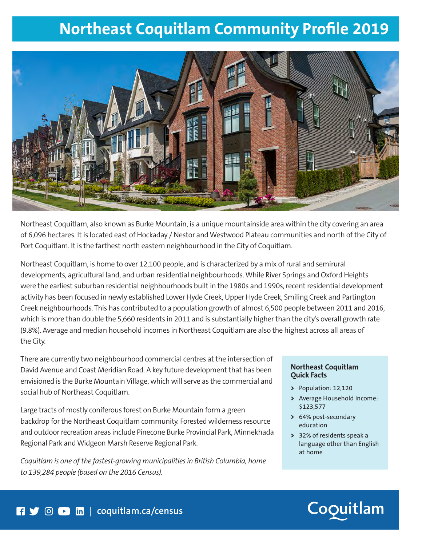# **Northeast Coquitlam Community Profile 2019**



Northeast Coquitlam, also known as Burke Mountain, is a unique mountainside area within the city covering an area of 6,096 hectares. It is located east of Hockaday / Nestor and Westwood Plateau communities and north of the City of Port Coquitlam. It is the farthest north eastern neighbourhood in the City of Coquitlam.

Northeast Coquitlam, is home to over 12,100 people, and is characterized by a mix of rural and semirural developments, agricultural land, and urban residential neighbourhoods. While River Springs and Oxford Heights were the earliest suburban residential neighbourhoods built in the 1980s and 1990s, recent residential development activity has been focused in newly established Lower Hyde Creek, Upper Hyde Creek, Smiling Creek and Partington Creek neighbourhoods. This has contributed to a population growth of almost 6,500 people between 2011 and 2016, which is more than double the 5,660 residents in 2011 and is substantially higher than the city's overall growth rate (9.8%). Average and median household incomes in Northeast Coquitlam are also the highest across all areas of the City.

There are currently two neighbourhood commercial centres at the intersection of David Avenue and Coast Meridian Road. A key future development that has been envisioned is the Burke Mountain Village, which will serve as the commercial and social hub of Northeast Coquitlam.

Large tracts of mostly coniferous forest on Burke Mountain form a green backdrop for the Northeast Coquitlam community. Forested wilderness resource and outdoor recreation areas include Pinecone Burke Provincial Park, Minnekhada Regional Park and Widgeon Marsh Reserve Regional Park.

*Coquitlam is one of the fastest-growing municipalities in British Columbia, home to 139,284 people (based on the 2016 Census).* 

#### **Northeast Coquitlam Quick Facts**

- **>** Population: 12,120
- **>** Average Household Income: \$123,577
- **>** 64% post-secondary education
- **>** 32% of residents speak a language other than English at home

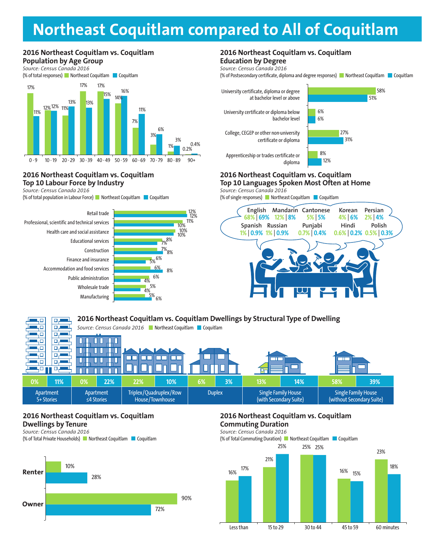## **Northeast Coquitlam compared to All of Coquitlam**

#### **2016 Northeast Coquitlam vs. Coquitlam Population by Age Group**

*Source: Census Canada 2016*



#### **2016 Northeast Coquitlam vs. Coquitlam Top 10 Labour Force by Industry**

*Source: Census Canada 2016*

(% of total population in Labour Force) Northeast Coquitlam Coquitlam





#### **2016 Northeast Coquitlam vs. Coquitlam Education by Degree**

*Source: Census Canada 2016*

(% of Postsecondary certificate, diploma and degree responses) Northeast Coquitlam Coquitlam

51%

58%



#### **2016 Northeast Coquitlam vs. Coquitlam Top 10 Languages Spoken Most Often at Home BUSINESS BUSINESS**

*Source: Census Canada 2016* **BUSINESS**

(% of single responses) Northeast Coquitlam Coquitlam



#### **2016 Northeast Coquitlam vs. Coquitlam Dwellings by Structural Type of Dwelling**  ЦΟ للصبره  $\Box$ Source: Census Canada 2016 **Northeast Coquitlam Coquitlam** ЦΟ ۳L цα 口見 ЦÓ оJ П П 40 ᇛ Ш П ┓ ЦΩ  $\Box_{\tau}$  $\Box$  $\Box$  $\Box$ П 40 口口 п 40. 口声 П П **0% 11% 0% 22% 22% 10% 6% 3% 13% 14% 58% 39%** Single Family House Apartment Apartment Triplex/Quadruplex/Row Duplex | Single Family House ≤4 Stories House/Townhouse (with Secondary Suite) (without Secondary Suite) 5+ Stories

### **2016 Northeast Coquitlam vs. Coquitlam Dwellings by Tenure**

*Source: Census Canada 2016* (% of Total Private Households) Northeast Coquitlam Coquitlam



#### **2016 Northeast Coquitlam vs. Coquitlam Commuting Duration**

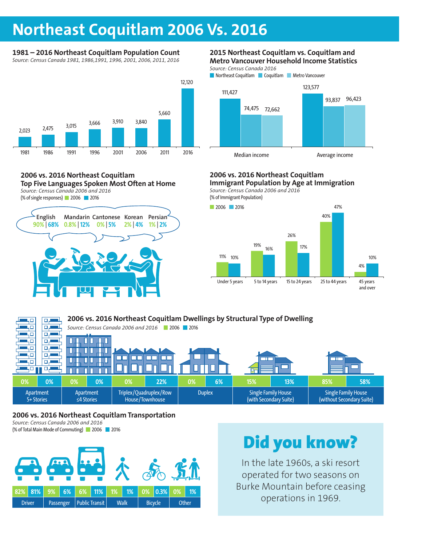### **Northeast Coquitlam 2006 Vs. 2016**

### **1981 – 2016 Northeast Coquitlam Population Count**

*Source: Census Canada 1981, 1986,1991, 1996, 2001, 2006, 2011, 2016*



#### **2006 vs. 2016 Northeast Coquitlam Top Five Languages Spoken Most Often at Home** *Source: Census Canada 2006 and 2016*

(% of single responses) 2006 2016



#### **2015 Northeast Coquitlam vs. Coquitlam and Metro Vancouver Household Income Statistics**

*Source: Census Canada 2016* **Northeast Coquitlam Coquitlam Metro Vancouver** 



### **2006 vs. 2016 Northeast Coquitlam**

**Immigrant Population by Age at Immigration** *Source: Census Canada 2006 and 2016* **BUSINESS**







### **2006 vs. 2016 Northeast Coquitlam Transportation**

*Source: Census Canada 2006 and 2016* (% of Total Main Mode of Commuting) 2006 2016



# Did you know?

In the late 1960s, a ski resort operated for two seasons on Burke Mountain before ceasing operations in 1969.